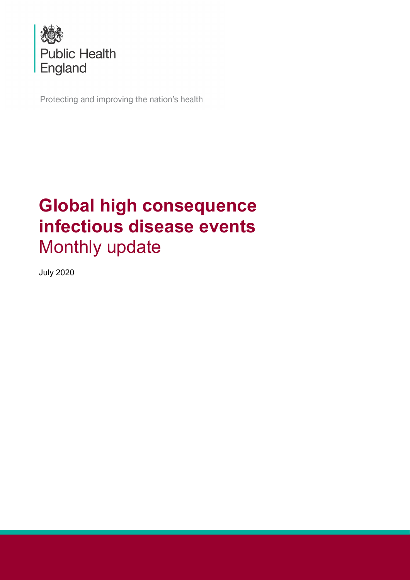

Protecting and improving the nation's health

# **Global high consequence infectious disease events** Monthly update

July 2020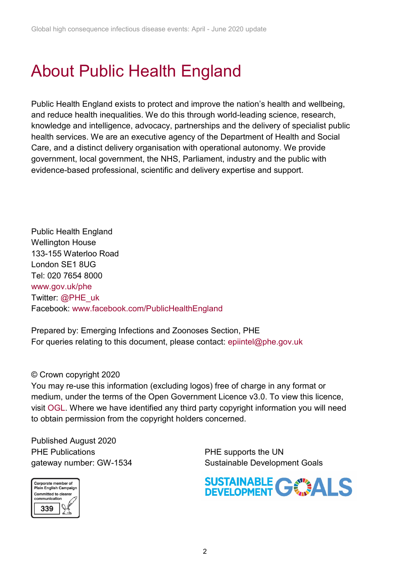# About Public Health England

Public Health England exists to protect and improve the nation's health and wellbeing, and reduce health inequalities. We do this through world-leading science, research, knowledge and intelligence, advocacy, partnerships and the delivery of specialist public health services. We are an executive agency of the Department of Health and Social Care, and a distinct delivery organisation with operational autonomy. We provide government, local government, the NHS, Parliament, industry and the public with evidence-based professional, scientific and delivery expertise and support.

Public Health England Wellington House 133-155 Waterloo Road London SE1 8UG Tel: 020 7654 8000 [www.gov.uk/phe](http://www.gov.uk/phe) Twitter: [@PHE\\_uk](https://twitter.com/PHE_uk) Facebook: [www.facebook.com/PublicHealthEngland](http://www.facebook.com/PublicHealthEngland)

Prepared by: Emerging Infections and Zoonoses Section, PHE For queries relating to this document, please contact: [epiintel@phe.gov.uk](mailto:epiintel@phe.gov.uk)

#### © Crown copyright 2020

You may re-use this information (excluding logos) free of charge in any format or medium, under the terms of the Open Government Licence v3.0. To view this licence, visit [OGL.](https://www.nationalarchives.gov.uk/doc/open-government-licence/version/3/) Where we have identified any third party copyright information you will need to obtain permission from the copyright holders concerned.

Published August 2020 PHE Publications **PHE** supports the UN



gateway number: GW-1534 Sustainable Development Goals

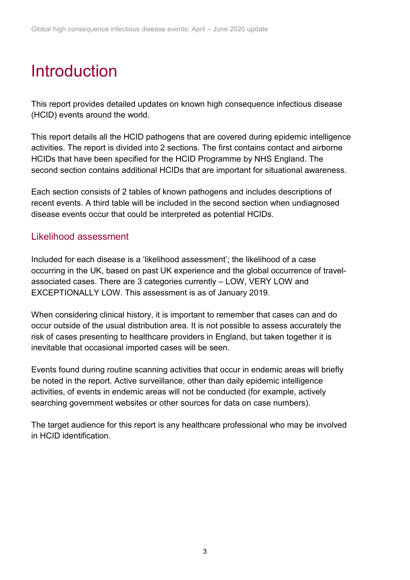# Introduction

This report provides detailed updates on known high consequence infectious disease (HCID) events around the world.

This report details all the HCID pathogens that are covered during epidemic intelligence activities. The report is divided into 2 sections. The first contains contact and airborne HCIDs that have been specified for the HCID Programme by NHS England. The second section contains additional HCIDs that are important for situational awareness.

Each section consists of 2 tables of known pathogens and includes descriptions of recent events. A third table will be included in the second section when undiagnosed disease events occur that could be interpreted as potential HCIDs.

### Likelihood assessment

Included for each disease is a 'likelihood assessment'; the likelihood of a case occurring in the UK, based on past UK experience and the global occurrence of travelassociated cases. There are 3 categories currently – LOW, VERY LOW and EXCEPTIONALLY LOW. This assessment is as of January 2019.

When considering clinical history, it is important to remember that cases can and do occur outside of the usual distribution area. It is not possible to assess accurately the risk of cases presenting to healthcare providers in England, but taken together it is inevitable that occasional imported cases will be seen.

Events found during routine scanning activities that occur in endemic areas will briefly be noted in the report. Active surveillance, other than daily epidemic intelligence activities, of events in endemic areas will not be conducted (for example, actively searching government websites or other sources for data on case numbers).

The target audience for this report is any healthcare professional who may be involved in HCID identification.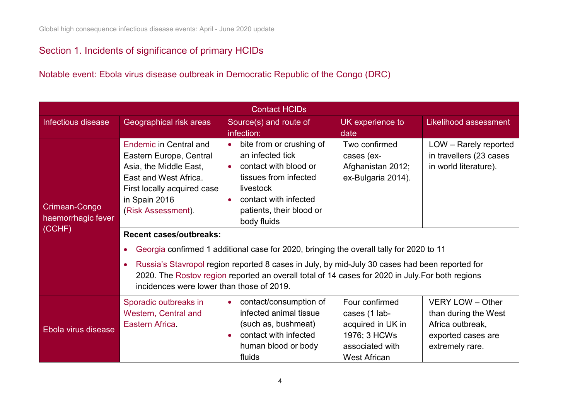### Section 1. Incidents of significance of primary HCIDs

Notable event: Ebola virus disease outbreak in [Democratic Republic of the Congo \(DRC\)](#page-3-0)

<span id="page-3-0"></span>

| <b>Contact HCIDs</b>                          |                                                                                                                                                                                                                                                                                            |                                                                                                                                                                                                                                                                                                                                                                                                                                                                                               |                                                                                                                |                                                                                                       |  |  |  |
|-----------------------------------------------|--------------------------------------------------------------------------------------------------------------------------------------------------------------------------------------------------------------------------------------------------------------------------------------------|-----------------------------------------------------------------------------------------------------------------------------------------------------------------------------------------------------------------------------------------------------------------------------------------------------------------------------------------------------------------------------------------------------------------------------------------------------------------------------------------------|----------------------------------------------------------------------------------------------------------------|-------------------------------------------------------------------------------------------------------|--|--|--|
| Infectious disease                            | Geographical risk areas                                                                                                                                                                                                                                                                    | Source(s) and route of<br>infection:                                                                                                                                                                                                                                                                                                                                                                                                                                                          | UK experience to<br>date                                                                                       | <b>Likelihood assessment</b>                                                                          |  |  |  |
| Crimean-Congo<br>haemorrhagic fever<br>(CCHF) | <b>Endemic in Central and</b><br>Eastern Europe, Central<br>Asia, the Middle East,<br>East and West Africa.<br>First locally acquired case<br>in Spain 2016<br>(Risk Assessment).<br><b>Recent cases/outbreaks:</b><br>$\bullet$<br>$\bullet$<br>incidences were lower than those of 2019. | bite from or crushing of<br>an infected tick<br>contact with blood or<br>tissues from infected<br>livestock<br>contact with infected<br>$\bullet$<br>patients, their blood or<br>body fluids<br>Georgia confirmed 1 additional case for 2020, bringing the overall tally for 2020 to 11<br>Russia's Stavropol region reported 8 cases in July, by mid-July 30 cases had been reported for<br>2020. The Rostov region reported an overall total of 14 cases for 2020 in July. For both regions | Two confirmed<br>cases (ex-<br>Afghanistan 2012;<br>ex-Bulgaria 2014).                                         | LOW - Rarely reported<br>in travellers (23 cases<br>in world literature).                             |  |  |  |
| Ebola virus disease                           | Sporadic outbreaks in<br><b>Western, Central and</b><br>Eastern Africa.                                                                                                                                                                                                                    | • contact/consumption of<br>infected animal tissue<br>(such as, bushmeat)<br>contact with infected<br>human blood or body<br>fluids                                                                                                                                                                                                                                                                                                                                                           | Four confirmed<br>cases (1 lab-<br>acquired in UK in<br>1976; 3 HCWs<br>associated with<br><b>West African</b> | VERY LOW - Other<br>than during the West<br>Africa outbreak,<br>exported cases are<br>extremely rare. |  |  |  |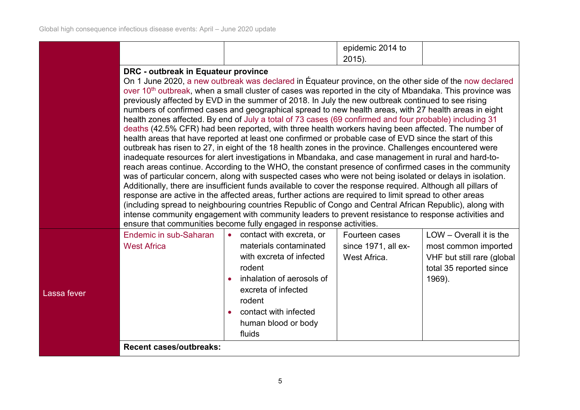Lassa

|  | epidemic 2014 to       |  |
|--|------------------------|--|
|  | 2015<br><u>_vivi</u> . |  |

#### **DRC - outbreak in Equateur province**

On 1 June 2020, [a new outbreak was declared](https://twitter.com/DrTedros/status/1267446244793888769) in Équateur province, on the other side of the [now declared](https://www.who.int/news-room/detail/25-06-2020-10th-ebola-outbreak-in-the-democratic-republic-of-the-congo-declared-over-vigilance-against-flare-ups-and-support-for-survivors-must-continue)  over 10<sup>th</sup> outbreak, when a small cluster of cases was reported in the city of Mbandaka. This province was previously affected by EVD in the summer of 2018. In July the new outbreak continued to see rising numbers of confirmed cases and geographical spread to new health areas, with 27 health areas in eight health zones affected. By end of [July a total of 73 cases \(69 confirmed and four probable\) including 31](https://apps.who.int/iris/bitstream/handle/10665/333629/OEW31-270703082020.pdf?sequence=1&isAllowed=y)  [deaths](https://apps.who.int/iris/bitstream/handle/10665/333629/OEW31-270703082020.pdf?sequence=1&isAllowed=y) (42.5% CFR) had been reported, with three health workers having been affected. The number of health areas that have reported at least one confirmed or probable case of EVD since the start of this outbreak has risen to 27, in eight of the 18 health zones in the province. Challenges encountered were inadequate resources for alert investigations in Mbandaka, and case management in rural and hard-toreach areas continue. According to the WHO, the constant presence of confirmed cases in the community was of particular concern, along with suspected cases who were not being isolated or delays in isolation. Additionally, there are insufficient funds available to cover the response required. Although all pillars of response are active in the affected areas, further actions are required to limit spread to other areas (including spread to neighbouring countries Republic of Congo and Central African Republic), along with intense community engagement with community leaders to prevent resistance to response activities and ensure that communities become fully engaged in response activities.

| । fever | Endemic in sub-Saharan<br><b>West Africa</b> | contact with excreta, or<br>materials contaminated<br>with excreta of infected<br>rodent<br>inhalation of aerosols of<br>excreta of infected<br>rodent<br>contact with infected<br>human blood or body<br>fluids | Fourteen cases<br>since 1971, all ex-<br>West Africa. | $LOW - Overall$ it is the<br>most common imported<br>VHF but still rare (global<br>total 35 reported since<br>1969). |
|---------|----------------------------------------------|------------------------------------------------------------------------------------------------------------------------------------------------------------------------------------------------------------------|-------------------------------------------------------|----------------------------------------------------------------------------------------------------------------------|
|         | <b>Recent cases/outbreaks:</b>               |                                                                                                                                                                                                                  |                                                       |                                                                                                                      |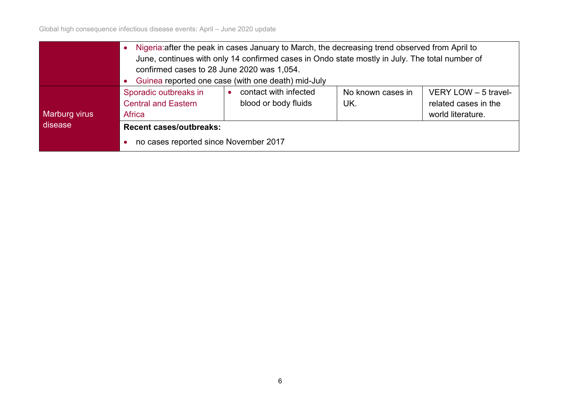Global high consequence infectious disease events: April – June 2020 update

|               | Nigeria: after the peak in cases January to March, the decreasing trend observed from April to                                                                                    |  |  |  |  |  |  |  |
|---------------|-----------------------------------------------------------------------------------------------------------------------------------------------------------------------------------|--|--|--|--|--|--|--|
|               | June, continues with only 14 confirmed cases in Ondo state mostly in July. The total number of                                                                                    |  |  |  |  |  |  |  |
|               | confirmed cases to 28 June 2020 was 1,054.                                                                                                                                        |  |  |  |  |  |  |  |
|               | Guinea reported one case (with one death) mid-July                                                                                                                                |  |  |  |  |  |  |  |
|               | Sporadic outbreaks in<br>contact with infected<br>VERY LOW $-5$ travel-<br>No known cases in<br>blood or body fluids<br><b>Central and Eastern</b><br>related cases in the<br>UK. |  |  |  |  |  |  |  |
|               |                                                                                                                                                                                   |  |  |  |  |  |  |  |
| Marburg virus | <b>Africa</b><br>world literature.                                                                                                                                                |  |  |  |  |  |  |  |
| disease       | <b>Recent cases/outbreaks:</b>                                                                                                                                                    |  |  |  |  |  |  |  |
|               | no cases reported since November 2017<br>$\bullet$                                                                                                                                |  |  |  |  |  |  |  |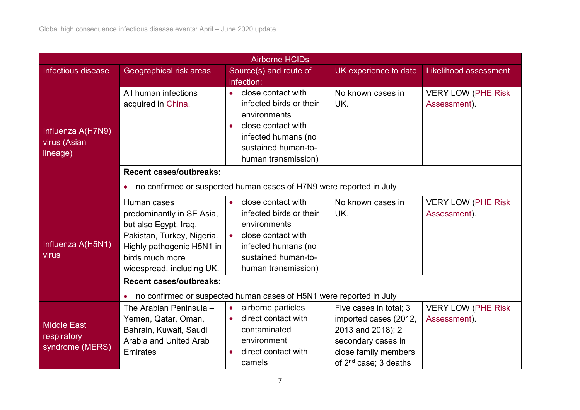| <b>Airborne HCIDs</b>      |                                              |                                                                     |                                   |                                            |  |  |
|----------------------------|----------------------------------------------|---------------------------------------------------------------------|-----------------------------------|--------------------------------------------|--|--|
| Infectious disease         | Geographical risk areas                      | Source(s) and route of                                              | UK experience to date             | <b>Likelihood assessment</b>               |  |  |
|                            |                                              | infection:                                                          |                                   |                                            |  |  |
|                            | All human infections<br>acquired in China.   | close contact with<br>$\bullet$<br>infected birds or their          | No known cases in<br>UK.          | <b>VERY LOW (PHE Risk)</b><br>Assessment). |  |  |
|                            |                                              | environments                                                        |                                   |                                            |  |  |
| Influenza A(H7N9)          |                                              | close contact with<br>$\bullet$<br>infected humans (no              |                                   |                                            |  |  |
| virus (Asian               |                                              | sustained human-to-                                                 |                                   |                                            |  |  |
| lineage)                   |                                              | human transmission)                                                 |                                   |                                            |  |  |
|                            | <b>Recent cases/outbreaks:</b>               |                                                                     |                                   |                                            |  |  |
|                            | $\bullet$                                    | no confirmed or suspected human cases of H7N9 were reported in July |                                   |                                            |  |  |
|                            | Human cases                                  | close contact with<br>$\bullet$                                     | No known cases in                 | <b>VERY LOW (PHE Risk</b>                  |  |  |
|                            | predominantly in SE Asia,                    | infected birds or their                                             | UK.                               | Assessment)                                |  |  |
| Influenza A(H5N1)<br>virus | but also Egypt, Iraq,                        | environments                                                        |                                   |                                            |  |  |
|                            | Pakistan, Turkey, Nigeria.                   | close contact with<br>$\bullet$                                     |                                   |                                            |  |  |
|                            | Highly pathogenic H5N1 in<br>birds much more | infected humans (no<br>sustained human-to-                          |                                   |                                            |  |  |
|                            | widespread, including UK.                    | human transmission)                                                 |                                   |                                            |  |  |
|                            | <b>Recent cases/outbreaks:</b>               |                                                                     |                                   |                                            |  |  |
|                            | $\bullet$                                    | no confirmed or suspected human cases of H5N1 were reported in July |                                   |                                            |  |  |
|                            | The Arabian Peninsula -                      | airborne particles<br>$\bullet$                                     | Five cases in total; 3            | <b>VERY LOW (PHE Risk)</b>                 |  |  |
| <b>Middle East</b>         | Yemen, Qatar, Oman,                          | direct contact with                                                 | imported cases (2012,             | Assessment).                               |  |  |
| respiratory                | Bahrain, Kuwait, Saudi                       | contaminated                                                        | 2013 and 2018); 2                 |                                            |  |  |
| syndrome (MERS)            | Arabia and United Arab                       | environment                                                         | secondary cases in                |                                            |  |  |
|                            | <b>Emirates</b>                              | direct contact with<br>$\bullet$                                    | close family members              |                                            |  |  |
|                            |                                              | camels                                                              | of 2 <sup>nd</sup> case; 3 deaths |                                            |  |  |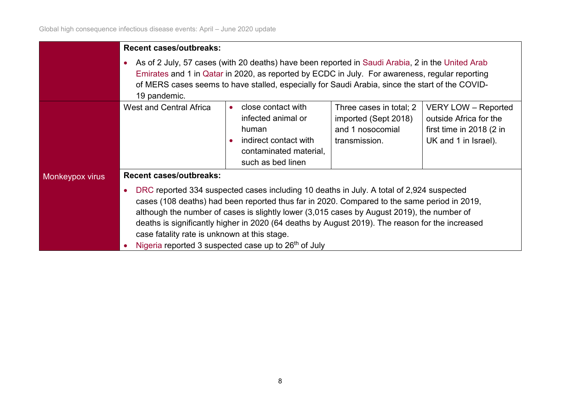|                 | <b>Recent cases/outbreaks:</b>                                                                                                                                                                                                                                                                                                                                                                                                                                                                                            |                                                                                                                           |                                                                                      |                                                                                                          |  |  |  |
|-----------------|---------------------------------------------------------------------------------------------------------------------------------------------------------------------------------------------------------------------------------------------------------------------------------------------------------------------------------------------------------------------------------------------------------------------------------------------------------------------------------------------------------------------------|---------------------------------------------------------------------------------------------------------------------------|--------------------------------------------------------------------------------------|----------------------------------------------------------------------------------------------------------|--|--|--|
|                 | As of 2 July, 57 cases (with 20 deaths) have been reported in Saudi Arabia, 2 in the United Arab<br>$\bullet$<br>Emirates and 1 in Qatar in 2020, as reported by ECDC in July. For awareness, regular reporting<br>of MERS cases seems to have stalled, especially for Saudi Arabia, since the start of the COVID-<br>19 pandemic.                                                                                                                                                                                        |                                                                                                                           |                                                                                      |                                                                                                          |  |  |  |
|                 | <b>West and Central Africa</b>                                                                                                                                                                                                                                                                                                                                                                                                                                                                                            | close contact with<br>infected animal or<br>human<br>indirect contact with<br>contaminated material,<br>such as bed linen | Three cases in total; 2<br>imported (Sept 2018)<br>and 1 nosocomial<br>transmission. | <b>VERY LOW - Reported</b><br>outside Africa for the<br>first time in 2018 (2 in<br>UK and 1 in Israel). |  |  |  |
| Monkeypox virus | <b>Recent cases/outbreaks:</b>                                                                                                                                                                                                                                                                                                                                                                                                                                                                                            |                                                                                                                           |                                                                                      |                                                                                                          |  |  |  |
|                 | DRC reported 334 suspected cases including 10 deaths in July. A total of 2,924 suspected<br>$\bullet$<br>cases (108 deaths) had been reported thus far in 2020. Compared to the same period in 2019,<br>although the number of cases is slightly lower (3,015 cases by August 2019), the number of<br>deaths is significantly higher in 2020 (64 deaths by August 2019). The reason for the increased<br>case fatality rate is unknown at this stage.<br>Nigeria reported 3 suspected case up to 26 <sup>th</sup> of July |                                                                                                                           |                                                                                      |                                                                                                          |  |  |  |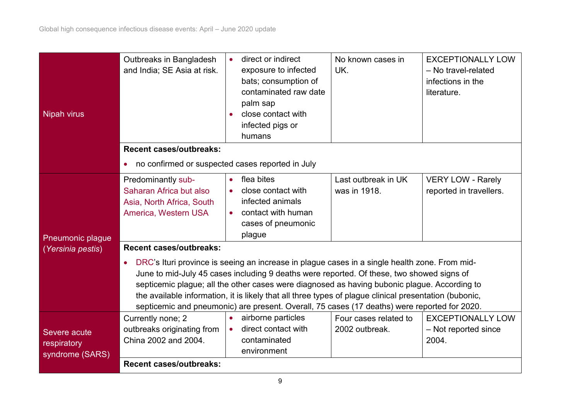| <b>Nipah virus</b>                             | Outbreaks in Bangladesh<br>and India; SE Asia at risk.                                                                                                                                                                                                                                                                                                                                                                                                                                                                                              | direct or indirect<br>exposure to infected<br>bats; consumption of<br>contaminated raw date<br>palm sap<br>close contact with<br>infected pigs or<br>humans | No known cases in<br>UK.                | <b>EXCEPTIONALLY LOW</b><br>- No travel-related<br>infections in the<br>literature. |  |  |  |
|------------------------------------------------|-----------------------------------------------------------------------------------------------------------------------------------------------------------------------------------------------------------------------------------------------------------------------------------------------------------------------------------------------------------------------------------------------------------------------------------------------------------------------------------------------------------------------------------------------------|-------------------------------------------------------------------------------------------------------------------------------------------------------------|-----------------------------------------|-------------------------------------------------------------------------------------|--|--|--|
|                                                | <b>Recent cases/outbreaks:</b>                                                                                                                                                                                                                                                                                                                                                                                                                                                                                                                      |                                                                                                                                                             |                                         |                                                                                     |  |  |  |
|                                                | no confirmed or suspected cases reported in July<br>$\bullet$                                                                                                                                                                                                                                                                                                                                                                                                                                                                                       |                                                                                                                                                             |                                         |                                                                                     |  |  |  |
| Pneumonic plague                               | Predominantly sub-<br>Saharan Africa but also<br>Asia, North Africa, South<br>America, Western USA                                                                                                                                                                                                                                                                                                                                                                                                                                                  | flea bites<br>$\bullet$<br>close contact with<br>$\bullet$<br>infected animals<br>contact with human<br>cases of pneumonic<br>plague                        | Last outbreak in UK<br>was in 1918.     | <b>VERY LOW - Rarely</b><br>reported in travellers.                                 |  |  |  |
| (Yersinia pestis)                              | <b>Recent cases/outbreaks:</b><br>DRC's Ituri province is seeing an increase in plague cases in a single health zone. From mid-<br>$\bullet$<br>June to mid-July 45 cases including 9 deaths were reported. Of these, two showed signs of<br>septicemic plague; all the other cases were diagnosed as having bubonic plague. According to<br>the available information, it is likely that all three types of plague clinical presentation (bubonic,<br>septicemic and pneumonic) are present. Overall, 75 cases (17 deaths) were reported for 2020. |                                                                                                                                                             |                                         |                                                                                     |  |  |  |
| Severe acute<br>respiratory<br>syndrome (SARS) | Currently none; 2<br>outbreaks originating from<br>China 2002 and 2004.<br><b>Recent cases/outbreaks:</b>                                                                                                                                                                                                                                                                                                                                                                                                                                           | airborne particles<br>$\bullet$<br>direct contact with<br>$\bullet$<br>contaminated<br>environment                                                          | Four cases related to<br>2002 outbreak. | <b>EXCEPTIONALLY LOW</b><br>- Not reported since<br>2004.                           |  |  |  |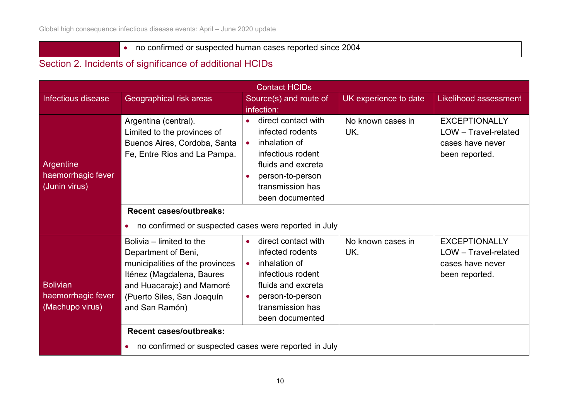## • no confirmed or suspected human cases reported since 2004

### Section 2. Incidents of significance of additional HCIDs

| <b>Contact HCIDs</b>                                     |                                                                                                                                                                                                                                                                                         |                                                                                                                                                                                                       |                          |                                                                                    |  |
|----------------------------------------------------------|-----------------------------------------------------------------------------------------------------------------------------------------------------------------------------------------------------------------------------------------------------------------------------------------|-------------------------------------------------------------------------------------------------------------------------------------------------------------------------------------------------------|--------------------------|------------------------------------------------------------------------------------|--|
| Infectious disease                                       | Geographical risk areas                                                                                                                                                                                                                                                                 | Source(s) and route of                                                                                                                                                                                | UK experience to date    | <b>Likelihood assessment</b>                                                       |  |
|                                                          |                                                                                                                                                                                                                                                                                         | infection:                                                                                                                                                                                            |                          |                                                                                    |  |
| Argentine<br>haemorrhagic fever<br>(Junin virus)         | Argentina (central).<br>Limited to the provinces of<br>Buenos Aires, Cordoba, Santa<br>Fe, Entre Rios and La Pampa.                                                                                                                                                                     | direct contact with<br>infected rodents<br>inhalation of<br>$\bullet$<br>infectious rodent<br>fluids and excreta<br>person-to-person<br>transmission has<br>been documented                           | No known cases in<br>UK. | <b>EXCEPTIONALLY</b><br>LOW - Travel-related<br>cases have never<br>been reported. |  |
|                                                          | <b>Recent cases/outbreaks:</b><br>no confirmed or suspected cases were reported in July<br>$\bullet$                                                                                                                                                                                    |                                                                                                                                                                                                       |                          |                                                                                    |  |
| <b>Bolivian</b><br>haemorrhagic fever<br>(Machupo virus) | Bolivia – limited to the<br>Department of Beni,<br>municipalities of the provinces<br>Iténez (Magdalena, Baures<br>and Huacaraje) and Mamoré<br>(Puerto Siles, San Joaquín<br>and San Ramón)<br><b>Recent cases/outbreaks:</b><br>no confirmed or suspected cases were reported in July | direct contact with<br>$\bullet$<br>infected rodents<br>inhalation of<br>$\bullet$<br>infectious rodent<br>fluids and excreta<br>person-to-person<br>$\bullet$<br>transmission has<br>been documented | No known cases in<br>UK. | <b>EXCEPTIONALLY</b><br>LOW - Travel-related<br>cases have never<br>been reported. |  |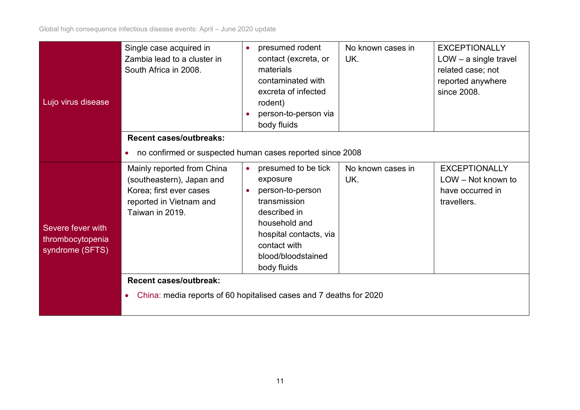Global high consequence infectious disease events: April – June 2020 update

| Lujo virus disease                                       | Single case acquired in<br>Zambia lead to a cluster in<br>South Africa in 2008.                                                                                   |  | presumed rodent<br>contact (excreta, or<br>materials<br>contaminated with<br>excreta of infected<br>rodent)<br>person-to-person via<br>body fluids                                  | No known cases in<br>UK. | <b>EXCEPTIONALLY</b><br>$LOW - a single travel$<br>related case; not<br>reported anywhere<br>since 2008. |  |
|----------------------------------------------------------|-------------------------------------------------------------------------------------------------------------------------------------------------------------------|--|-------------------------------------------------------------------------------------------------------------------------------------------------------------------------------------|--------------------------|----------------------------------------------------------------------------------------------------------|--|
|                                                          | <b>Recent cases/outbreaks:</b>                                                                                                                                    |  |                                                                                                                                                                                     |                          |                                                                                                          |  |
|                                                          | no confirmed or suspected human cases reported since 2008<br>$\bullet$                                                                                            |  |                                                                                                                                                                                     |                          |                                                                                                          |  |
| Severe fever with<br>thrombocytopenia<br>syndrome (SFTS) | Mainly reported from China<br>(southeastern), Japan and<br>Korea; first ever cases<br>reported in Vietnam and<br>Taiwan in 2019.<br><b>Recent cases/outbreak:</b> |  | presumed to be tick<br>exposure<br>person-to-person<br>transmission<br>described in<br>household and<br>hospital contacts, via<br>contact with<br>blood/bloodstained<br>body fluids | No known cases in<br>UK. | <b>EXCEPTIONALLY</b><br>LOW - Not known to<br>have occurred in<br>travellers.                            |  |
|                                                          | China: media reports of 60 hopitalised cases and 7 deaths for 2020<br>$\bullet$                                                                                   |  |                                                                                                                                                                                     |                          |                                                                                                          |  |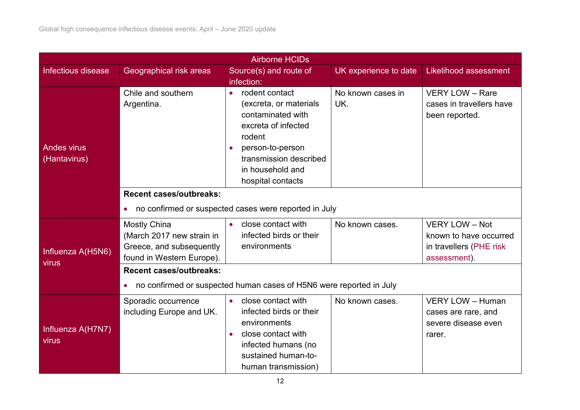| <b>Airborne HCIDs</b>              |                                                                                                           |                                                                                                                                                                                                                 |                          |                                                                                            |  |  |
|------------------------------------|-----------------------------------------------------------------------------------------------------------|-----------------------------------------------------------------------------------------------------------------------------------------------------------------------------------------------------------------|--------------------------|--------------------------------------------------------------------------------------------|--|--|
| Infectious disease                 | Geographical risk areas                                                                                   | Source(s) and route of                                                                                                                                                                                          | UK experience to date    | <b>Likelihood assessment</b>                                                               |  |  |
|                                    |                                                                                                           | infection:                                                                                                                                                                                                      |                          |                                                                                            |  |  |
| <b>Andes virus</b><br>(Hantavirus) | Chile and southern<br>Argentina.                                                                          | rodent contact<br>$\bullet$<br>(excreta, or materials<br>contaminated with<br>excreta of infected<br>rodent<br>person-to-person<br>$\bullet$<br>transmission described<br>in household and<br>hospital contacts | No known cases in<br>UK. | <b>VERY LOW - Rare</b><br>cases in travellers have<br>been reported.                       |  |  |
|                                    | <b>Recent cases/outbreaks:</b>                                                                            |                                                                                                                                                                                                                 |                          |                                                                                            |  |  |
|                                    | $\bullet$                                                                                                 | no confirmed or suspected cases were reported in July                                                                                                                                                           |                          |                                                                                            |  |  |
| Influenza A(H5N6)                  | <b>Mostly China</b><br>(March 2017 new strain in<br>Greece, and subsequently<br>found in Western Europe). | close contact with<br>infected birds or their<br>environments                                                                                                                                                   | No known cases.          | <b>VERY LOW - Not</b><br>known to have occurred<br>in travellers (PHE risk<br>assessment). |  |  |
| virus                              | <b>Recent cases/outbreaks:</b>                                                                            |                                                                                                                                                                                                                 |                          |                                                                                            |  |  |
|                                    | no confirmed or suspected human cases of H5N6 were reported in July<br>$\bullet$                          |                                                                                                                                                                                                                 |                          |                                                                                            |  |  |
| Influenza A(H7N7)<br>virus         | Sporadic occurrence<br>including Europe and UK.                                                           | close contact with<br>$\bullet$<br>infected birds or their<br>environments<br>close contact with<br>$\bullet$<br>infected humans (no<br>sustained human-to-<br>human transmission)                              | No known cases.          | VERY LOW - Human<br>cases are rare, and<br>severe disease even<br>rarer.                   |  |  |